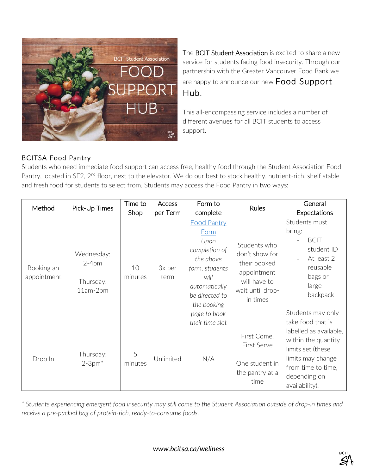

The **BCIT Student Association** is excited to share a new service for students facing food insecurity. Through our partnership with the Greater Vancouver Food Bank we are happy to announce our new Food Support Hub.

This all-encompassing service includes a number of different avenues for all BCIT students to access support.

# BCITSA Food Pantry

Students who need immediate food support can access free, healthy food through the Student Association Food Pantry, located in SE2, 2<sup>nd</sup> floor, next to the elevator. We do our best to stock healthy, nutrient-rich, shelf stable and fresh food for students to select from. Students may access the Food Pantry in two ways:

| Method                    | Pick-Up Times                                  | Time to<br>Shop | Access<br>per Term | Form to<br>complete                                                                                                                                                             | <b>Rules</b>                                                                                                  | General<br>Expectations                                                                                                                                  |
|---------------------------|------------------------------------------------|-----------------|--------------------|---------------------------------------------------------------------------------------------------------------------------------------------------------------------------------|---------------------------------------------------------------------------------------------------------------|----------------------------------------------------------------------------------------------------------------------------------------------------------|
| Booking an<br>appointment | Wednesday:<br>$2-4pm$<br>Thursday:<br>11am-2pm | 10<br>minutes   | 3x per<br>term     | <b>Food Pantry</b><br>Form<br>Upon<br>completion of<br>the above<br>form, students<br>will<br>automatically<br>be directed to<br>the booking<br>page to book<br>their time slot | Students who<br>don't show for<br>their booked<br>appointment<br>will have to<br>wait until drop-<br>in times | Students must<br>bring:<br><b>BCIT</b><br>student ID<br>At least 2<br>reusable<br>bags or<br>large<br>backpack<br>Students may only<br>take food that is |
| Drop In                   | Thursday:<br>$2-3pm*$                          | 5<br>minutes    | Unlimited          | N/A                                                                                                                                                                             | First Come,<br>First Serve<br>One student in<br>the pantry at a<br>time                                       | labelled as available,<br>within the quantity<br>limits set (these<br>limits may change<br>from time to time,<br>depending on<br>availability).          |

*\* Students experiencing emergent food insecurity may still come to the Student Association outside of drop-in times and receive a pre-packed bag of protein-rich, ready-to-consume foods.*